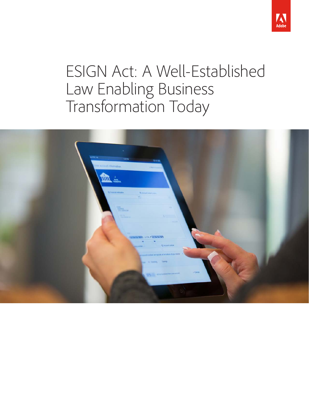

# ESIGN Act: A Well-Established Law Enabling Business Transformation Today

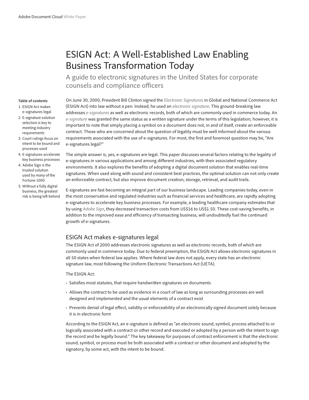# ESIGN Act: A Well-Established Law Enabling Business Transformation Today

A guide to electronic signatures in the United States for corporate counsels and compliance officers

#### **Table of contents**

- 1: ESIGN Act makes e-signatures legal
- 2: [E-signature solution](#page-2-0)  [selection is key to](#page-2-0)  [meeting industry](#page-2-0)  [requirements](#page-2-0)
- 3: [Court rulings focus on](#page-3-0)  [intent to be bound and](#page-3-0)  [processes used](#page-3-0)
- 4: [E-signatures accelerate](#page-4-0)  [key business processes](#page-4-0)
- 4: [Adobe Sign is the](#page-4-0)  [trusted solution](#page-4-0)  [used by many of the](#page-4-0)  [Fortune 1000](#page-4-0)
- 5: [Without a fully digital](#page-5-0)  [business, the greatest](#page-5-0)  [risk is being left behind](#page-5-0)

On June 30, 2000, President Bill Clinton signed the *[Electronic Signatures](https://acrobat.adobe.com/us/en/sign.html)* in Global and National Commerce Act (ESIGN Act) into law without a pen. Instead, he used an *[electronic signature](https://acrobat.adobe.com/us/en/sign.html)*. This ground-breaking law addresses *[e-signatures](https://acrobat.adobe.com/us/en/sign.html)* as well as electronic records, both of which are commonly used in commerce today. An *[e-signature](https://acrobat.adobe.com/us/en/sign.html)* was granted the same status as a written signature under the terms of this legislation; however, it is important to note that simply placing a symbol on a document does not, in and of itself, create an enforceable contract. Those who are concerned about the question of legality must be well informed about the various requirements associated with the use of e-signatures. For most, the first and foremost question may be, "Are e-signatures legal?"

The simple answer is, yes, e-signatures are legal. This paper discusses several factors relating to the legality of e-signatures in various applications and among different industries, with their associated regulatory environments. It also explores the benefits of adopting a digital document solution that enables real-time signatures. When used along with sound and consistent best practices, the optimal solution can not only create an enforceable contract, but also improve document creation, storage, retrieval, and audit trails.

E-signatures are fast becoming an integral part of our business landscape. Leading companies today, even in the most conservative and regulated industries such as financial services and healthcare, are rapidly adopting e-signatures to accelerate key business processes. For example, a leading healthcare company estimates that by using *[Adobe Sign](https://acrobat.adobe.com/us/en/sign.html)*, they decreased transaction costs from US\$16 to US\$1.50. These cost-saving benefits, in addition to the improved ease and efficiency of transacting business, will undoubtedly fuel the continued growth of e-signatures.

# ESIGN Act makes e-signatures legal

The ESIGN Act of 2000 addresses electronic signatures as well as electronic records, both of which are commonly used in commerce today. Due to federal preemption, the ESIGN Act allows electronic signatures in all 50 states when federal law applies. Where federal law does not apply, every state has an electronic signature law, most following the Uniform Electronic Transactions Act (UETA).

#### The ESIGN Act:

- Satisfies most statutes, that require handwritten signatures on documents
- Allows the contract to be used as evidence in a court of law as long as surrounding processes are well designed and implemented and the usual elements of a contract exist
- Prevents denial of legal effect, validity or enforceability of an electronically signed document solely because it is in electronic form

According to the ESIGN Act, an e-signature is defined as "an electronic sound, symbol, process attached to or logically associated with a contract or other record and executed or adopted by a person with the intent to sign the record and be legally bound." The key takeaway for purposes of contract enforcement is that the electronic sound, symbol, or process must be both associated with a contract or other document and adopted by the signatory, by some act, with the intent to be bound.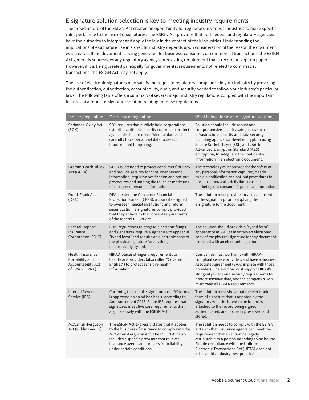### <span id="page-2-0"></span>E-signature solution selection is key to meeting industry requirements

The broad nature of the ESIGN Act created an opportunity for regulators in various industries to make specific rules pertaining to the use of e-signatures. The ESIGN Act provides that both federal and regulatory agencies have the authority to interpret and apply the law in the context of their industries. Understanding the implications of e-signature use in a specific industry depends upon consideration of the reason the document was created. If the document is being generated for business, consumer, or commercial transactions, the ESIGN Act generally supersedes any regulatory agency's preexisting requirement that a record be kept on paper. However, if it is being created principally for governmental requirements not related to commercial transactions, the ESIGN Act may not apply.

The use of electronic signatures may satisfy the requisite regulatory compliance in your industry by providing the authentication, authorization, accountability, audit, and security needed to follow your industry's particular laws. The following table offers a summary of several major industry regulations coupled with the important features of a robust e-signature solution relating to those regulations.

| Industry regulation                                                                 | Overview of regulation                                                                                                                                                                                                                                                    | What to look for in an e-signature solution                                                                                                                                                                                                                                                                                                          |
|-------------------------------------------------------------------------------------|---------------------------------------------------------------------------------------------------------------------------------------------------------------------------------------------------------------------------------------------------------------------------|------------------------------------------------------------------------------------------------------------------------------------------------------------------------------------------------------------------------------------------------------------------------------------------------------------------------------------------------------|
| Sarbanes-Oxley Act<br>(SOX)                                                         | SOX requires that publicly held corporations<br>establish verifiable security controls to protect<br>against disclosure of confidential data and<br>carefully track personnel data to detect<br>fraud-related tampering.                                                  | Solution should include robust and<br>comprehensive security safeguards such as<br>infrastructure security and data security,<br>including application-level encryption using<br>Secure Sockets Layer (SSL) and 256-bit<br>Advanced Encryption Standard (AES)<br>encryption, to safeguard the confidential<br>information in an electronic document. |
| Gramm-Leach-Bliley<br>Act (GLBA)                                                    | GLBA is intended to protect consumers' privacy<br>and provide security for consumer personal<br>information, requiring notification and opt-out<br>procedures and limiting the reuse or marketing<br>of consumer personal information.                                    | The technology must provide for the safety of<br>any personal information captured, clearly<br>explain notification and opt-out procedures to<br>the consumer, and strictly limit reuse or<br>marketing of a consumer's personal information.                                                                                                        |
| Dodd-Frank Act<br>(DFA)                                                             | DFA created the Consumer Financial<br>Protection Bureau (CFPB), a council designed<br>to oversee financial institutions and reform<br>securitization. E-signatures comply provided<br>that they adhere to the consent requirements<br>of the federal ESIGN Act.           | The solution must provide for active consent<br>of the signatory prior to applying the<br>e-signature to the document.                                                                                                                                                                                                                               |
| Federal Deposit<br>Insurance<br>Corporation (FDIC)                                  | FDIC regulations relating to electronic filings<br>and signatures require a signature to appear in<br>"typed form" and require an electronic copy of<br>the physical signature for anything<br>electronically signed.                                                     | The solution should provide a "typed form"<br>appearance as well as maintain an electronic<br>copy of the physical signature for any document<br>executed with an electronic signature.                                                                                                                                                              |
| Health Insurance<br>Portability and<br><b>Accountability Act</b><br>of 1996 (HIPAA) | HIPAA places stringent requirements on<br>healthcare providers (also called "Covered<br>Entities") to protect sensitive health<br>information.                                                                                                                            | Companies must work only with HIPAA-<br>compliant service providers and have a Business<br>Associate Agreement (BAA) in place with those<br>providers. The solution must support HIPAA's<br>stringent privacy and security requirements to<br>protect sensitive data, and the company's BAA<br>must meet all HIPAA requirements.                     |
| Internal Revenue<br>Service (IRS)                                                   | Currently, the use of e-signatures on IRS forms<br>is approved on an ad hoc basis. According to<br>Announcement 2013-8, the IRS requires that<br>signatures meet five core requirements that<br>align precisely with the ESIGN Act.                                       | The solution must show that the electronic<br>form of signature that is adopted by the<br>signatory with the intent to be bound is<br>attached to the record being signed,<br>authenticated, and properly preserved and<br>stored.                                                                                                                   |
| McCarran-Ferguson<br>Act (Public Law 15)                                            | The ESIGN Act expressly states that it applies<br>to the business of insurance to comply with the<br>McCarran-Ferguson Act. The ESIGN Act also<br>includes a specific provision that relieves<br>insurance agents and brokers from liability<br>under certain conditions. | The solution needs to comply with the ESIGN<br>Act such that insurance agents can meet the<br>requirement that an action be legally<br>attributable to a person intending to be bound.<br>Simple compliance with the Uniform<br>Electronic Transactions Act (UETA) does not<br>achieve this industry best practice.                                  |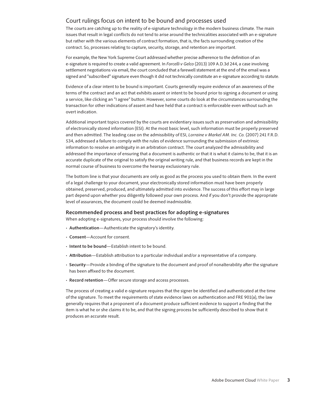#### <span id="page-3-0"></span>Court rulings focus on intent to be bound and processes used

The courts are catching up to the reality of e-signature technology in the modern business climate. The main issues that result in legal conflicts do not tend to arise around the technicalities associated with an e-signature but rather with the various elements of contract formation, that is, the facts surrounding creation of the contract. So, processes relating to capture, security, storage, and retention are important.

For example, the New York Supreme Court addressed whether precise adherence to the definition of an e-signature is required to create a valid agreement. In *Forcelli v Gelco* (2013) 109 A.D.3d 244, a case involving settlement negotiations via email, the court concluded that a farewell statement at the end of the email was a signed and "subscribed" signature even though it did not technically constitute an e-signature according to statute.

Evidence of a clear intent to be bound is important. Courts generally require evidence of an awareness of the terms of the contract and an act that exhibits assent or intent to be bound prior to signing a document or using a service, like clicking an "I agree" button. However, some courts do look at the circumstances surrounding the transaction for other indications of assent and have held that a contract is enforceable even without such an overt indication.

Additional important topics covered by the courts are evidentiary issues such as preservation and admissibility of electronically stored information (ESI). At the most basic level, such information must be properly preserved and then admitted. The leading case on the admissibility of ESI, *Lorraine v Markel AM. Inc. Co.* (2007) 241 F.R.D. 534, addressed a failure to comply with the rules of evidence surrounding the submission of extrinsic information to resolve an ambiguity in an arbitration contract. The court analyzed the admissibility and addressed the importance of ensuring that a document is authentic or that it is what it claims to be, that it is an accurate duplicate of the original to satisfy the original writing rule, and that business records are kept in the normal course of business to overcome the hearsay exclusionary rule.

The bottom line is that your documents are only as good as the process you used to obtain them. In the event of a legal challenge to your document, your electronically stored information must have been properly obtained, preserved, produced, and ultimately admitted into evidence. The success of this effort may in large part depend upon whether you diligently followed your own process. And if you don't provide the appropriate level of assurances, the document could be deemed inadmissible.

#### **Recommended process and best practices for adopting e-signatures**

When adopting e-signatures, your process should involve the following:

- **Authentication**—Authenticate the signatory's identity.
- *•* **Consent**—Account for consent.
- **Intent to be bound**—Establish intent to be bound.
- **Attribution**—Establish attribution to a particular individual and/or a representative of a company.
- **Security**—Provide a binding of the signature to the document and proof of nonalterability after the signature has been affixed to the document.
- **Record retention**—Offer secure storage and access processes.

The process of creating a valid e-signature requires that the signer be identified and authenticated at the time of the signature. To meet the requirements of state evidence laws on authentication and FRE 901(a), the law generally requires that a proponent of a document produce sufficient evidence to support a finding that the item is what he or she claims it to be, and that the signing process be sufficiently described to show that it produces an accurate result.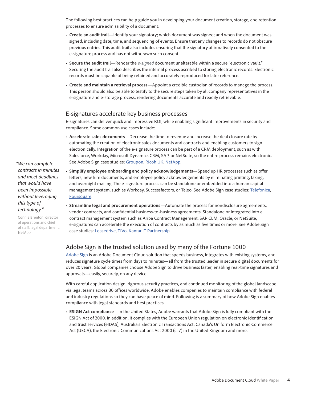<span id="page-4-0"></span>The following best practices can help guide you in developing your document creation, storage, and retention processes to ensure admissibility of a document:

- **Create an audit trail**—Identify your signatory; which document was signed; and when the document was signed, including date, time, and sequencing of events. Ensure that any changes to records do not obscure previous entries. This audit trail also includes ensuring that the signatory affirmatively consented to the e-signature process and has not withdrawn such consent.
- **Secure the audit trail**—Render the *[e-signed](https://acrobat.adobe.com/us/en/sign.html)* document unalterable within a secure "electronic vault." Securing the audit trail also describes the internal process ascribed to storing electronic records. Electronic records must be capable of being retained and accurately reproduced for later reference.
- **Create and maintain a retrieval process**—Appoint a credible custodian of records to manage the process. This person should also be able to testify to the secure steps taken by all company representatives in the e-signature and e-storage process, rendering documents accurate and readily retrievable.

#### E-signatures accelerate key business processes

E-signatures can deliver quick and impressive ROI, while enabling significant improvements in security and compliance. Some common use cases include:

- **Accelerate sales documents**—Decrease the time to revenue and increase the deal closure rate by automating the creation of electronic sales documents and contracts and enabling customers to sign electronically. Integration of the e-signature process can be part of a CRM deployment, such as with Salesforce, Workday, Microsoft Dynamics CRM, SAP, or NetSuite, so the entire process remains electronic. See Adobe Sign case studies: [Groupon](https://www.adobe.com/content/dam/Adobe/en/customer-success/pdfs/groupon-case-study.pdf), [Ricoh UK](https://www.adobe.com/content/dam/Adobe/en/customer-success/pdfs/ricoh-uk-case-study.pdf), [NetApp.](www.adobe.com/content/dam/Adobe/en/customer-success/pdfs/netapp-e-signatures-case-study.pdf)
- **Simplify employee onboarding and policy acknowledgements**—Speed up HR processes such as offer letters, new hire documents, and employee policy acknowledgements by eliminating printing, faxing, and overnight mailing. The e-signature process can be standalone or embedded into a human capital management system, such as Workday, Successfactors, or Taleo. See Adobe Sign case studies: [Telefonica,](https://www.adobe.com/content/dam/Adobe/en/customer-success/pdfs/telefonica-case-study.pdf) [Foursquare](https://www.adobe.com/content/dam/Adobe/en/customer-success/pdfs/foursquare-case-study.pdf).
- **Streamline legal and procurement operations**—Automate the process for nondisclosure agreements, vendor contracts, and confidential business-to-business agreements. Standalone or integrated into a contract management system such as Ariba Contract Management, SAP CLM, Oracle, or NetSuite, e-signatures can accelerate the execution of contracts by as much as five times or more. See Adobe Sign case studies: [Leasedrive](https://www.adobe.com/content/dam/Adobe/en/customer-success/pdfs/leasedrive-case-study.pdf), [TiVo](https://www.adobe.com/content/dam/Adobe/en/customer-success/pdfs/tivo-case-study.pdf), [Kantar IT Partnership](https://www.adobe.com/content/dam/Adobe/en/customer-success/pdfs/kantar-itp-case-study.pdf).

# Adobe Sign is the trusted solution used by many of the Fortune 1000

[Adobe Sign](https://acrobat.adobe.com/us/en/sign.html) is an Adobe Document Cloud solution that speeds business, integrates with existing systems, and reduces signature cycle times from days to minutes—all from the trusted leader in secure digital documents for over 20 years. Global companies choose Adobe Sign to drive business faster, enabling real-time signatures and approvals—easily, securely, on any device.

With careful application design, rigorous security practices, and continued monitoring of the global landscape via legal teams across 30 offices worldwide, Adobe enables companies to maintain compliance with federal and industry regulations so they can have peace of mind. Following is a summary of how Adobe Sign enables compliance with legal standards and best practices.

• **ESIGN Act compliance**—In the United States, Adobe warrants that Adobe Sign is fully compliant with the ESIGN Act of 2000. In addition, it complies with the European Union regulation on electronic identification and trust services (eIDAS), Australia's Electronic Transactions Act, Canada's Uniform Electronic Commerce Act (UECA), the Electronic Communications Act 2000 (c. 7) in the United Kingdom and more.

*"We can complete contracts in minutes and meet deadlines that would have been impossible without leveraging this type of technology."*

Connie Brenton, director of operations and chief of staff, legal department, NetApp